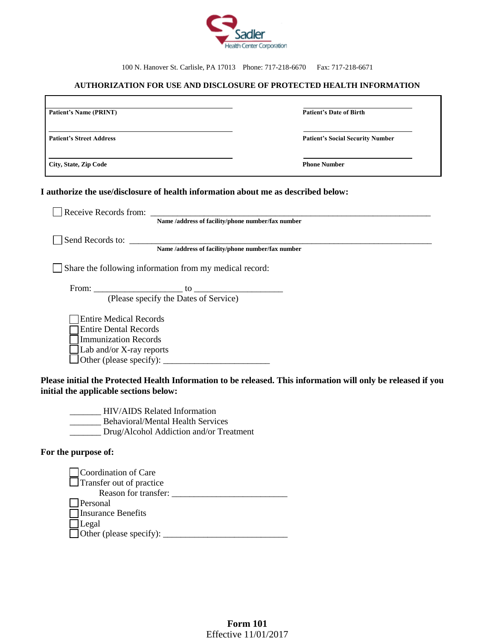

100 N. Hanover St. Carlisle, PA 17013 Phone: 717-218-6670 Fax: 717-218-6671

## **AUTHORIZATION FOR USE AND DISCLOSURE OF PROTECTED HEALTH INFORMATION**

| <b>Patient's Name (PRINT)</b>   | <b>Patient's Date of Birth</b>          |
|---------------------------------|-----------------------------------------|
| <b>Patient's Street Address</b> | <b>Patient's Social Security Number</b> |
| City, State, Zip Code           | <b>Phone Number</b>                     |

## **I authorize the use/disclosure of health information about me as described below:**

| Receive Records from:                                   |
|---------------------------------------------------------|
| Name /address of facility/phone number/fax number       |
| Send Records to:                                        |
| Name /address of facility/phone number/fax number       |
| Share the following information from my medical record: |
|                                                         |
| (Please specify the Dates of Service)                   |
| <b>Entire Medical Records</b>                           |
| <b>Entire Dental Records</b>                            |
| <b>Immunization Records</b>                             |
| $\Delta$ Lab and/or X-ray reports                       |
|                                                         |
|                                                         |

**Please initial the Protected Health Information to be released. This information will only be released if you initial the applicable sections below:**

\_\_\_\_\_\_\_ HIV/AIDS Related Information \_\_\_\_\_\_\_ Behavioral/Mental Health Services \_\_\_\_\_\_\_ Drug/Alcohol Addiction and/or Treatment

## **For the purpose of:**

ľ

| Coordination of Care                  |
|---------------------------------------|
| $\Box$ Transfer out of practice       |
| Reason for transfer:                  |
| Personal                              |
| <b>Theorem Benefits</b>               |
| Legal                                 |
| $\Box$ Other (please specify): $\Box$ |